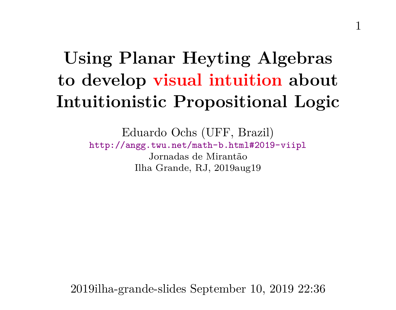# **Using Planar Heyting Algebras to develop visual intuition about Intuitionistic Propositional Logic**

Eduardo Ochs (UFF, Brazil) <http://angg.twu.net/math-b.html#2019-viipl> Jornadas de Mirantão Ilha Grande, RJ, 2019aug19

2019ilha-grande-slides September 10, 2019 22:36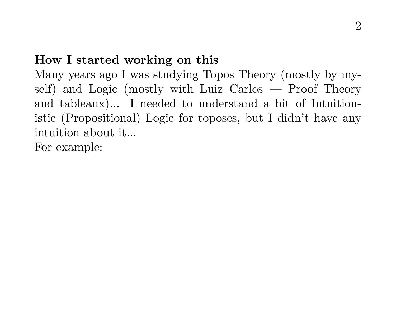#### **How I started working on this**

Many years ago I was studying Topos Theory (mostly by myself) and Logic (mostly with Luiz Carlos — Proof Theory and tableaux)... I needed to understand a bit of Intuitionistic (Propositional) Logic for toposes, but I didn't have any intuition about it...

For example: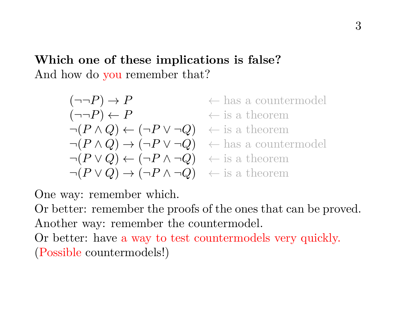**Which one of these implications is false?** And how do you remember that?

$$
(\neg\neg P) \rightarrow P \qquad \leftarrow \text{ has a countermodel}
$$
\n
$$
(\neg\neg P) \leftarrow P \qquad \leftarrow \text{ is a theorem}
$$
\n
$$
\neg (P \land Q) \leftarrow (\neg P \lor \neg Q) \qquad \leftarrow \text{ is a theorem}
$$
\n
$$
\neg (P \land Q) \rightarrow (\neg P \lor \neg Q) \qquad \leftarrow \text{ has a countermodel}
$$
\n
$$
\neg (P \lor Q) \leftarrow (\neg P \land \neg Q) \qquad \leftarrow \text{ is a theorem}
$$
\n
$$
\neg (P \lor Q) \rightarrow (\neg P \land \neg Q) \qquad \leftarrow \text{ is a theorem}
$$

One way: remember which.

Or better: remember the proofs of the ones that can be proved. Another way: remember the countermodel.

Or better: have a way to test countermodels very quickly. (Possible countermodels!)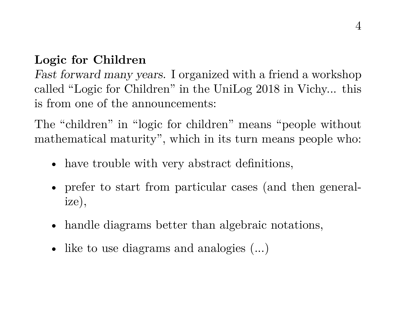# **Logic for Children**

Fast forward many years. I organized with a friend a workshop called "Logic for Children" in the UniLog 2018 in Vichy... this is from one of the announcements:

The "children" in "logic for children" means "people without mathematical maturity", which in its turn means people who:

- have trouble with very abstract definitions,
- prefer to start from particular cases (and then generalize),
- handle diagrams better than algebraic notations,
- like to use diagrams and analogies  $(\dots)$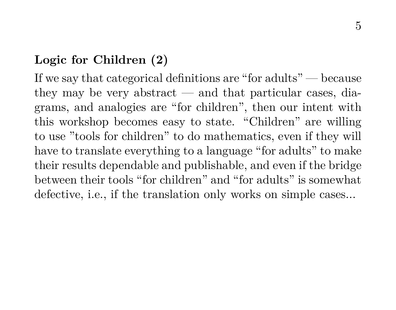### **Logic for Children (2)**

If we say that categorical definitions are "for adults" — because they may be very abstract — and that particular cases, diagrams, and analogies are "for children", then our intent with this workshop becomes easy to state. "Children" are willing to use "tools for children" to do mathematics, even if they will have to translate everything to a language "for adults" to make their results dependable and publishable, and even if the bridge between their tools "for children" and "for adults" is somewhat defective, i.e., if the translation only works on simple cases...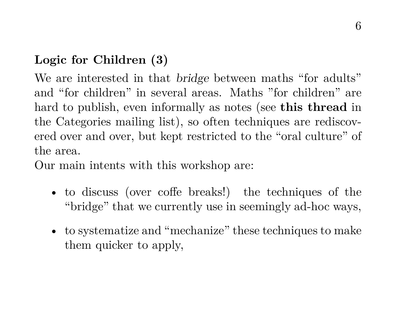# **Logic for Children (3)**

We are interested in that bridge between maths "for adults" and "for children" in several areas. Maths "for children" are hard to publish, even informally as notes (see **this thread** in the Categories mailing list), so often techniques are rediscovered over and over, but kept restricted to the "oral culture" of the area.

Our main intents with this workshop are:

- to discuss (over coffe breaks!) the techniques of the "bridge" that we currently use in seemingly ad-hoc ways,
- to systematize and "mechanize" these techniques to make them quicker to apply,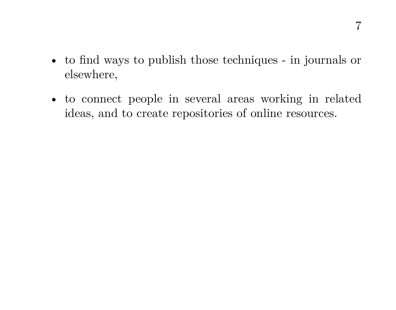- to find ways to publish those techniques in journals or elsewhere,
- to connect people in several areas working in related ideas, and to create repositories of online resources.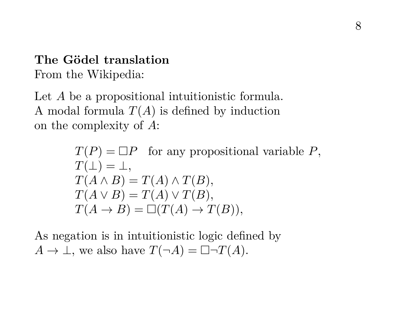# **The Gödel translation** From the Wikipedia:

Let A be a propositional intuitionistic formula. A modal formula  $T(A)$  is defined by induction on the complexity of A:

> $T(P) = \Box P$  for any propositional variable P,  $T(\perp) = \perp$ .  $T(A \wedge B) = T(A) \wedge T(B),$  $T(A \vee B) = T(A) \vee T(B),$  $T(A \rightarrow B) = \Box(T(A) \rightarrow T(B)),$

As negation is in intuitionistic logic defined by  $A \to \bot$ , we also have  $T(\neg A) = \Box \neg T(A)$ .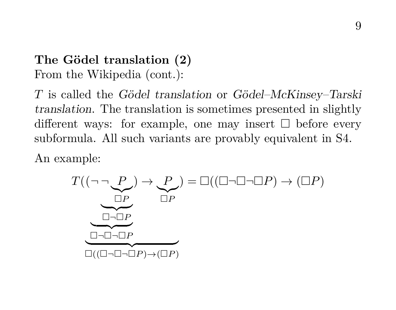# **The Gödel translation (2)** From the Wikipedia (cont.):

T is called the Gödel translation or Gödel–McKinsey–Tarski translation. The translation is sometimes presented in slightly different ways: for example, one may insert  $\Box$  before every subformula. All such variants are provably equivalent in S4.

An example:

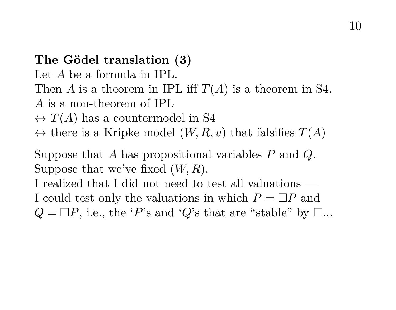#### **The Gödel translation (3)**

Let A be a formula in IPL.

- Then A is a theorem in IPL iff  $T(A)$  is a theorem in S4.
- A is a non-theorem of IPL
- $\leftrightarrow T(A)$  has a countermodel in S4
- $\leftrightarrow$  there is a Kripke model  $(W, R, v)$  that falsifies  $T(A)$

Suppose that A has propositional variables  $P$  and  $Q$ . Suppose that we've fixed  $(W, R)$ .

I realized that I did not need to test all valuations — I could test only the valuations in which  $P = \Box P$  and  $Q = \Box P$ , i.e., the 'P's and 'Q's that are "stable" by  $\Box$ ...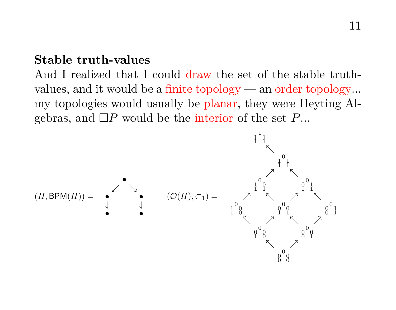#### **Stable truth-values**

And I realized that I could draw the set of the stable truthvalues, and it would be a finite topology — an order topology... my topologies would usually be planar, they were Heyting Algebras, and  $\Box P$  would be the interior of the set P...

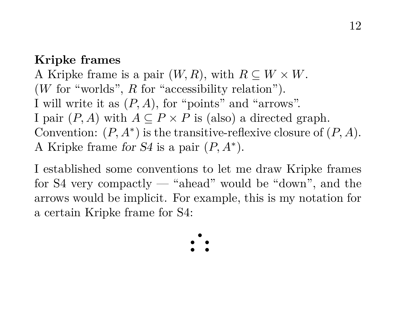#### **Kripke frames**

A Kripke frame is a pair  $(W, R)$ , with  $R \subseteq W \times W$ .  $(W$  for "worlds",  $R$  for "accessibility relation"). I will write it as  $(P, A)$ , for "points" and "arrows". I pair  $(P, A)$  with  $A \subseteq P \times P$  is (also) a directed graph. Convention:  $(P, A^*)$  is the transitive-reflexive closure of  $(P, A)$ . A Kripke frame for  $S4$  is a pair  $(P, A^*)$ .

I established some conventions to let me draw Kripke frames for S4 very compactly — "ahead" would be "down", and the arrows would be implicit. For example, this is my notation for a certain Kripke frame for S4:

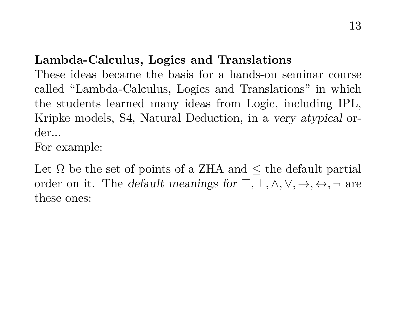# **Lambda-Calculus, Logics and Translations**

These ideas became the basis for a hands-on seminar course called "Lambda-Calculus, Logics and Translations" in which the students learned many ideas from Logic, including IPL, Kripke models, S4, Natural Deduction, in a very atypical order...

For example:

Let  $\Omega$  be the set of points of a ZHA and  $\leq$  the default partial order on it. The *default meanings for*  $\top, \bot, \wedge, \vee, \rightarrow, \leftrightarrow, \neg$  are these ones: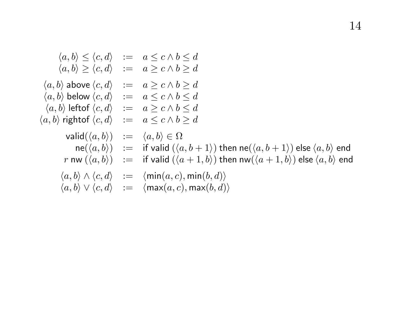$$
\langle a, b \rangle \leq \langle c, d \rangle := a \leq c \land b \leq d
$$
  
\n
$$
\langle a, b \rangle \geq \langle c, d \rangle := a \geq c \land b \geq d
$$
  
\n
$$
\langle a, b \rangle \text{ above } \langle c, d \rangle := a \geq c \land b \geq d
$$
  
\n
$$
\langle a, b \rangle \text{ below } \langle c, d \rangle := a \leq c \land b \leq d
$$
  
\n
$$
\langle a, b \rangle \text{ left of } \langle c, d \rangle := a \leq c \land b \leq d
$$
  
\n
$$
\langle a, b \rangle \text{ right of } \langle c, d \rangle := a \leq c \land b \geq d
$$
  
\n
$$
\text{valid}(\langle a, b \rangle) := \langle a, b \rangle \in \Omega
$$
  
\n
$$
\text{ne}(\langle a, b \rangle) := \text{if } \text{valid } (\langle a, b + 1 \rangle) \text{ then } \text{ne}(\langle a, b + 1 \rangle) \text{ else } \langle a, b \rangle \text{ end}
$$
  
\n
$$
r \text{ nw } (\langle a, b \rangle) := \text{if } \text{valid } (\langle a + 1, b \rangle) \text{ then } \text{nw}(\langle a + 1, b \rangle) \text{ else } \langle a, b \rangle \text{ end}
$$
  
\n
$$
\langle a, b \rangle \land \langle c, d \rangle := \langle \text{min}(a, c), \text{min}(b, d) \rangle
$$
  
\n
$$
\langle a, b \rangle \lor \langle c, d \rangle := \langle \text{max}(a, c), \text{max}(b, d) \rangle
$$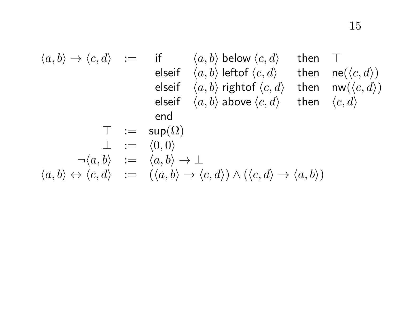$$
\begin{array}{rcl} \langle a,b\rangle \rightarrow \langle c,d\rangle &:=& \text{if} & \langle a,b\rangle \text{ below } \langle c,d\rangle & \text{ then } & \top \\ & & \text{elseif} & \langle a,b\rangle \text{ left-of }\langle c,d\rangle & \text{ then } & \text{ne}(\langle c,d\rangle) \\ & & \text{elseif} & \langle a,b\rangle \text{ right-of }\langle c,d\rangle & \text{ then } & \text{nw}(\langle c,d\rangle) \\ & & \text{elseif} & \langle a,b\rangle \text{ above } \langle c,d\rangle & \text{ then } & \langle c,d\rangle \\ & & \text{ end } & & \\ & & \top &:=& \text{sup}(\Omega) \\ & & \bot &:=& \langle 0,0\rangle \\ & & \neg \langle a,b\rangle &:=& \langle a,b\rangle \rightarrow \bot \\ \langle a,b\rangle &\leftrightarrow \langle c,d\rangle &:=& (\langle a,b\rangle \rightarrow \langle c,d\rangle) \wedge (\langle c,d\rangle \rightarrow \langle a,b\rangle) \end{array}
$$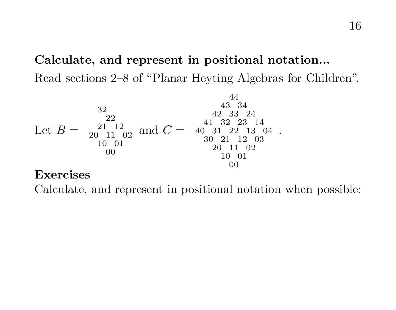# **Calculate, and represent in positional notation...**

Read sections 2–8 of "Planar Heyting Algebras for Children".

Let B = and C = <sup>40</sup> .

#### **Exercises**

Calculate, and represent in positional notation when possible: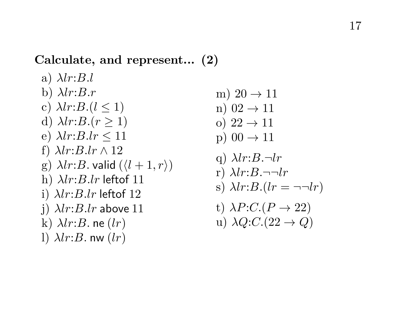# **Calculate, and represent... (2)**

a) 
$$
\lambda lr:B.l
$$
  
\nb)  $\lambda lr:B.r$   
\nc)  $\lambda lr:B.(l \le 1)$   
\nd)  $\lambda lr:B.(r \ge 1)$   
\ne)  $\lambda lr:B.lr \le 11$   
\nf)  $\lambda lr:B.lr \wedge 12$   
\ng)  $\lambda lr:B.lr$  held  $(l + 1, r)$   
\nh)  $\lambda lr:B.lr$  leftof 11  
\ni)  $\lambda lr:B.lr$  leftof 12  
\nj)  $\lambda lr:B.lr$  above 11  
\nk)  $\lambda lr:B.\text{ne } (lr)$   
\nl)  $\lambda lr:B.\text{nw } (lr)$ 

- m)  $20 \rightarrow 11$
- n)  $02 \rightarrow 11$
- o)  $22 \rightarrow 11$
- p)  $00 \rightarrow 11$
- q)  $\lambda lr:B.\neg lr$
- r)  $\lambda lr:B.\neg\neg lr$
- s)  $\lambda lr:B.(lr = \neg \neg lr)$
- t)  $\lambda P:C.(P \rightarrow 22)$
- u)  $\lambda Q: C:(22 \rightarrow Q)$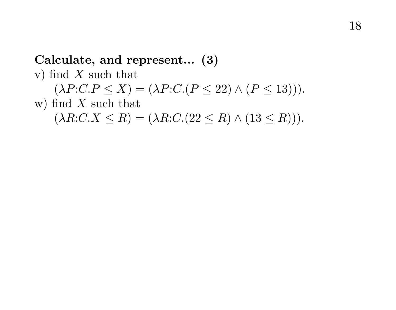#### 18

#### **Calculate, and represent... (3)**

v) find  $X$  such that  $(\lambda P:C.P \le X) = (\lambda P:C.(P \le 22) \wedge (P \le 13))).$ w) find  $X$  such that  $(\lambda R:C.X \leq R) = (\lambda R:C.(22 \leq R) \wedge (13 \leq R))).$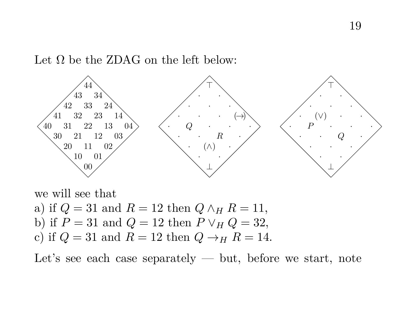Let  $\Omega$  be the ZDAG on the left below:



we will see that a) if  $Q = 31$  and  $R = 12$  then  $Q \wedge_H R = 11$ , b) if  $P = 31$  and  $Q = 12$  then  $P \vee_H Q = 32$ , c) if  $Q = 31$  and  $R = 12$  then  $Q \rightarrow_H R = 14$ .

Let's see each case separately  $-$  but, before we start, note